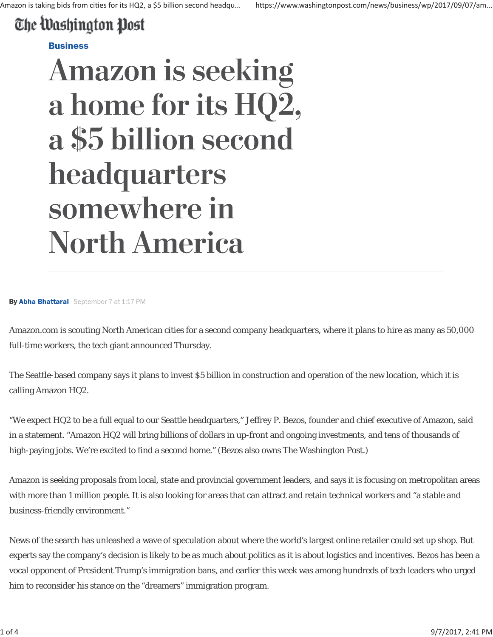## The Washington Post

## **Business**

## **Amazon is seeking** a home for its HQ2, a \$5 billion second headquarters somewhere in **North America**

By Abha Bhattarai September 7 at 1:17 PM

Amazon.com is scouting North American cities for a second company headquarters, where it plans to hire as many as 50,000 full-time workers, the tech giant announced Thursday.

The Seattle-based company says it plans to invest \$5 billion in construction and operation of the new location, which it is calling Amazon HQ2.

"We expect HQ2 to be a full equal to our Seattle headquarters," Jeffrey P. Bezos, founder and chief executive of Amazon, said in a statement. "Amazon HQ2 will bring billions of dollars in up-front and ongoing investments, and tens of thousands of high-paying jobs. We're excited to find a second home." (Bezos also owns The Washington Post.)

Amazon is seeking proposals from local, state and provincial government leaders, and says it is focusing on metropolitan areas with more than 1 million people. It is also looking for areas that can attract and retain technical workers and "a stable and business-friendly environment."

News of the search has unleashed a wave of speculation about where the world's largest online retailer could set up shop. But experts say the company's decision is likely to be as much about politics as it is about logistics and incentives. Bezos has been a vocal opponent of President Trump's immigration bans, and earlier this week was among hundreds of tech leaders who urged him to reconsider his stance on the "dreamers" immigration program.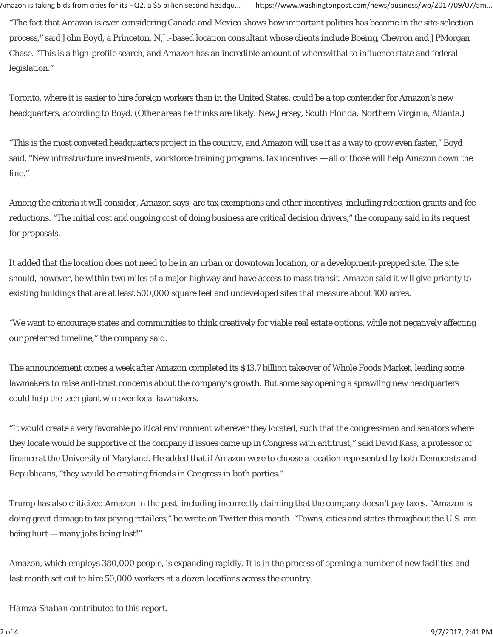"The fact that Amazon is even considering Canada and Mexico shows how important politics has become in the site-selection process," said John Boyd, a Princeton, N.J.-based location consultant whose clients include Boeing, Chevron and JPMorgan Chase. "This is a high-profile search, and Amazon has an incredible amount of wherewithal to influence state and federal legislation."

Toronto, where it is easier to hire foreign workers than in the United States, could be a top contender for Amazon's new headquarters, according to Boyd. (Other areas he thinks are likely: New Jersey, South Florida, Northern Virginia, Atlanta.)

"This is the most conveted headquarters project in the country, and Amazon will use it as a way to grow even faster," Boyd said. "New infrastructure investments, workforce training programs, tax incentives — all of those will help Amazon down the line."

Among the criteria it will consider, Amazon says, are tax exemptions and other incentives, including relocation grants and fee reductions. "The initial cost and ongoing cost of doing business are critical decision drivers," the company said in its request for proposals.

It added that the location does not need to be in an urban or downtown location, or a development-prepped site. The site should, however, be within two miles of a major highway and have access to mass transit. Amazon said it will give priority to existing buildings that are at least 500,000 square feet and undeveloped sites that measure about 100 acres.

"We want to encourage states and communities to think creatively for viable real estate options, while not negatively affecting our preferred timeline," the company said.

The announcement comes a week after Amazon completed its \$13.7 billion takeover of Whole Foods Market, leading some lawmakers to raise anti-trust concerns about the company's growth. But some say opening a sprawling new headquarters could help the tech giant win over local lawmakers.

"It would create a very favorable political environment wherever they located, such that the congressmen and senators where they locate would be supportive of the company if issues came up in Congress with antitrust," said David Kass, a professor of finance at the University of Maryland. He added that if Amazon were to choose a location represented by both Democrats and Republicans, "they would be creating friends in Congress in both parties."

Trump has also criticized Amazon in the past, including incorrectly claiming that the company doesn't pay taxes. "Amazon is doing great damage to tax paying retailers," he wrote on Twitter this month. "Towns, cities and states throughout the U.S. are being hurt — many jobs being lost!"

Amazon, which employs 380,000 people, is expanding rapidly. It is in the process of opening a number of new facilities and last month set out to hire 50,000 workers at a dozen locations across the country.

*Hamza Shaban contributed to this report.*